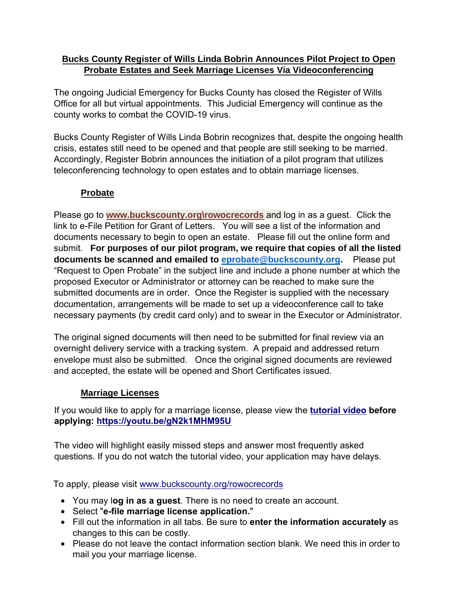### **Bucks County Register of Wills Linda Bobrin Announces Pilot Project to Open Probate Estates and Seek Marriage Licenses Via Videoconferencing**

The ongoing Judicial Emergency for Bucks County has closed the Register of Wills Office for all but virtual appointments. This Judicial Emergency will continue as the county works to combat the COVID-19 virus.

Bucks County Register of Wills Linda Bobrin recognizes that, despite the ongoing health crisis, estates still need to be opened and that people are still seeking to be married. Accordingly, Register Bobrin announces the initiation of a pilot program that utilizes teleconferencing technology to open estates and to obtain marriage licenses.

# **Probate**

Please go to **www.buckscounty.org\rowocrecords** and log in as a guest. Click the link to e-File Petition for Grant of Letters. You will see a list of the information and documents necessary to begin to open an estate. Please fill out the online form and submit. **For purposes of our pilot program, we require that copies of all the listed documents be scanned and emailed to [eprobate@buckscounty.org.](mailto:eprobate@buckscounty.org)** Please put "Request to Open Probate" in the subject line and include a phone number at which the proposed Executor or Administrator or attorney can be reached to make sure the submitted documents are in order. Once the Register is supplied with the necessary documentation, arrangements will be made to set up a videoconference call to take necessary payments (by credit card only) and to swear in the Executor or Administrator.

The original signed documents will then need to be submitted for final review via an overnight delivery service with a tracking system. A prepaid and addressed return envelope must also be submitted. Once the original signed documents are reviewed and accepted, the estate will be opened and Short Certificates issued.

### **Marriage Licenses**

If you would like to apply for a marriage license, please view the **[tutorial video](https://youtu.be/gN2k1MHM95U) before [applying: https://youtu.be/gN2k1](https://youtu.be/gN2k1MHM95U)MHM95U**

The video will highlight easily missed steps and answer most frequently asked questions. If you do not watch the tutorial video, your application may have delays.

To apply, please visit [www.buckscounty.org/rowocrecords](http://www.buckscounty.org/rowocrecords)

- You may l**og in as a guest**. There is no need to create an account.
- Select "**e-file marriage license application.**"
- Fill out the information in all tabs. Be sure to **enter the information accurately** as changes to this can be costly.
- Please do not leave the contact information section blank. We need this in order to mail you your marriage license.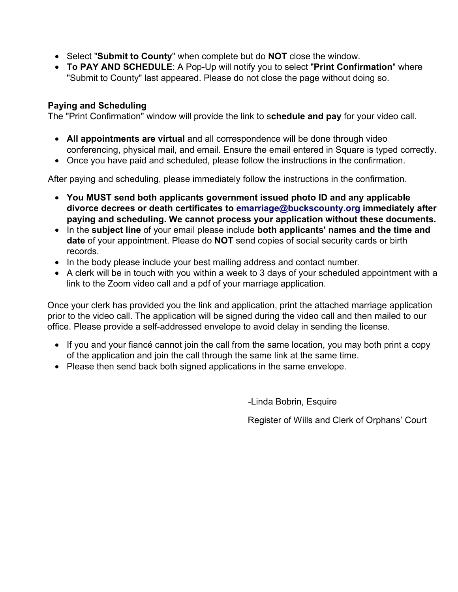- Select "**Submit to County**" when complete but do **NOT** close the window.
- **To PAY AND SCHEDULE**: A Pop-Up will notify you to select "**Print Confirmation**" where "Submit to County" last appeared. Please do not close the page without doing so.

### **Paying and Scheduling**

The "Print Confirmation" window will provide the link to s**chedule and pay** for your video call.

- **All appointments are virtual** and all correspondence will be done through video conferencing, physical mail, and email. Ensure the email entered in Square is typed correctly.
- Once you have paid and scheduled, please follow the instructions in the confirmation.

After paying and scheduling, please immediately follow the instructions in the confirmation.

- **You MUST send both applicants government issued photo ID and any applicable divorce decrees or death certificates to [emarriage@buckscounty.org](mailto:emarriage@buckscounty.org) immediately after paying and scheduling. We cannot process your application without these documents.**
- In the **subject line** of your email please include **both applicants' names and the time and date** of your appointment. Please do **NOT** send copies of social security cards or birth records.
- In the body please include your best mailing address and contact number.
- A clerk will be in touch with you within a week to 3 days of your scheduled appointment with a link to the Zoom video call and a pdf of your marriage application.

Once your clerk has provided you the link and application, print the attached marriage application prior to the video call. The application will be signed during the video call and then mailed to our office. Please provide a self-addressed envelope to avoid delay in sending the license.

- If you and your fiancé cannot join the call from the same location, you may both print a copy of the application and join the call through the same link at the same time.
- Please then send back both signed applications in the same envelope.

-Linda Bobrin, Esquire

Register of Wills and Clerk of Orphans' Court